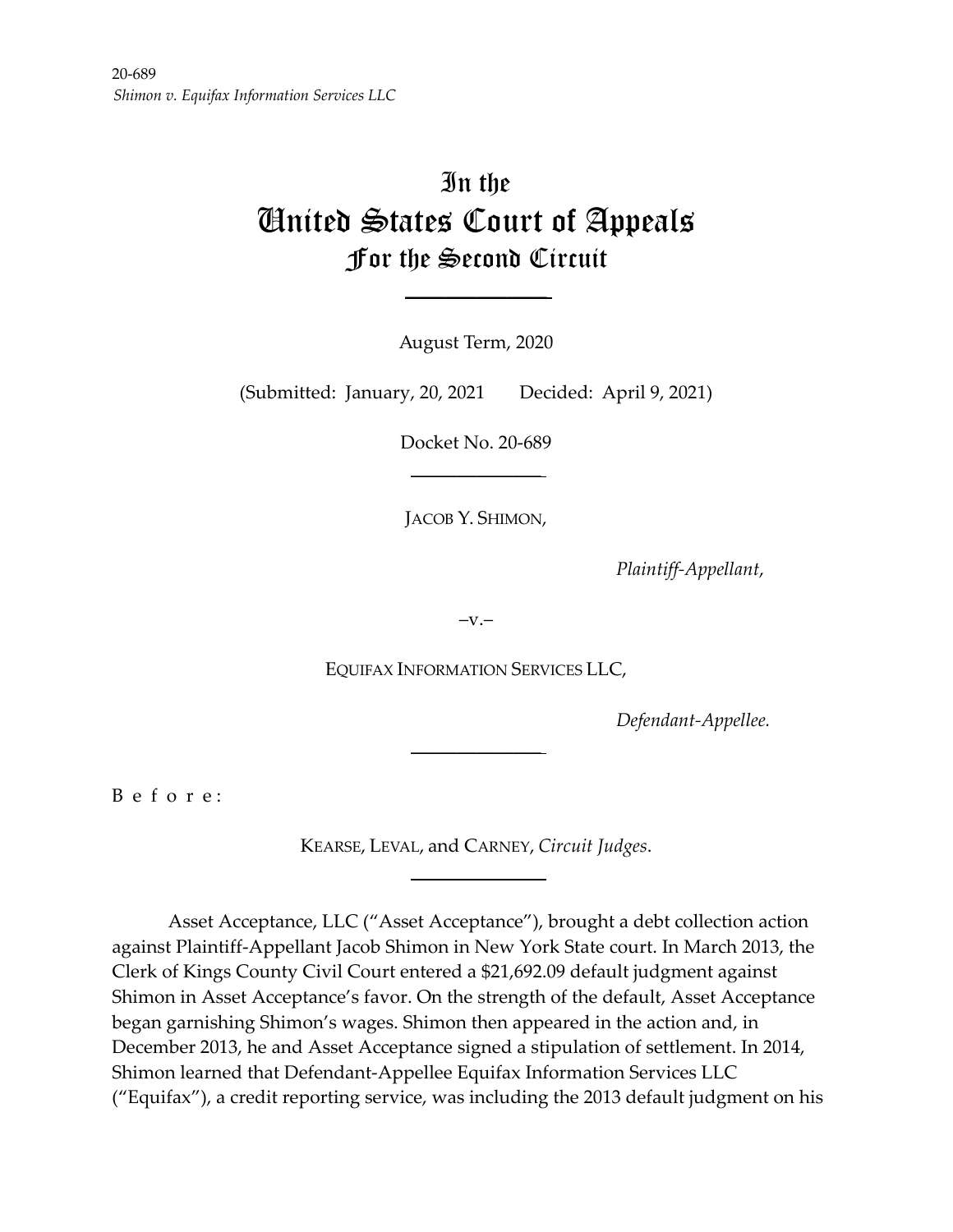# In the United States Court of Appeals For the Second Circuit

August Term, 2020

 $\mathcal{L}_\text{max}$  , we have the set of  $\mathcal{L}_\text{max}$ 

(Submitted: January, 20, 2021 Decided: April 9, 2021)

Docket No. 20-689  $\frac{1}{2}$ 

JACOB Y. SHIMON,

*Plaintiff-Appellant*,

 $-V.$ 

EQUIFAX INFORMATION SERVICES LLC,

 $\frac{1}{2}$ 

*Defendant-Appellee.*

B e f o r e :

KEARSE, LEVAL, and CARNEY, *Circuit Judges*.  $\frac{1}{2}$ 

Asset Acceptance, LLC ("Asset Acceptance"), brought a debt collection action against Plaintiff-Appellant Jacob Shimon in New York State court. In March 2013, the Clerk of Kings County Civil Court entered a \$21,692.09 default judgment against Shimon in Asset Acceptance's favor. On the strength of the default, Asset Acceptance began garnishing Shimon's wages. Shimon then appeared in the action and, in December 2013, he and Asset Acceptance signed a stipulation of settlement. In 2014, Shimon learned that Defendant-Appellee Equifax Information Services LLC ("Equifax"), a credit reporting service, was including the 2013 default judgment on his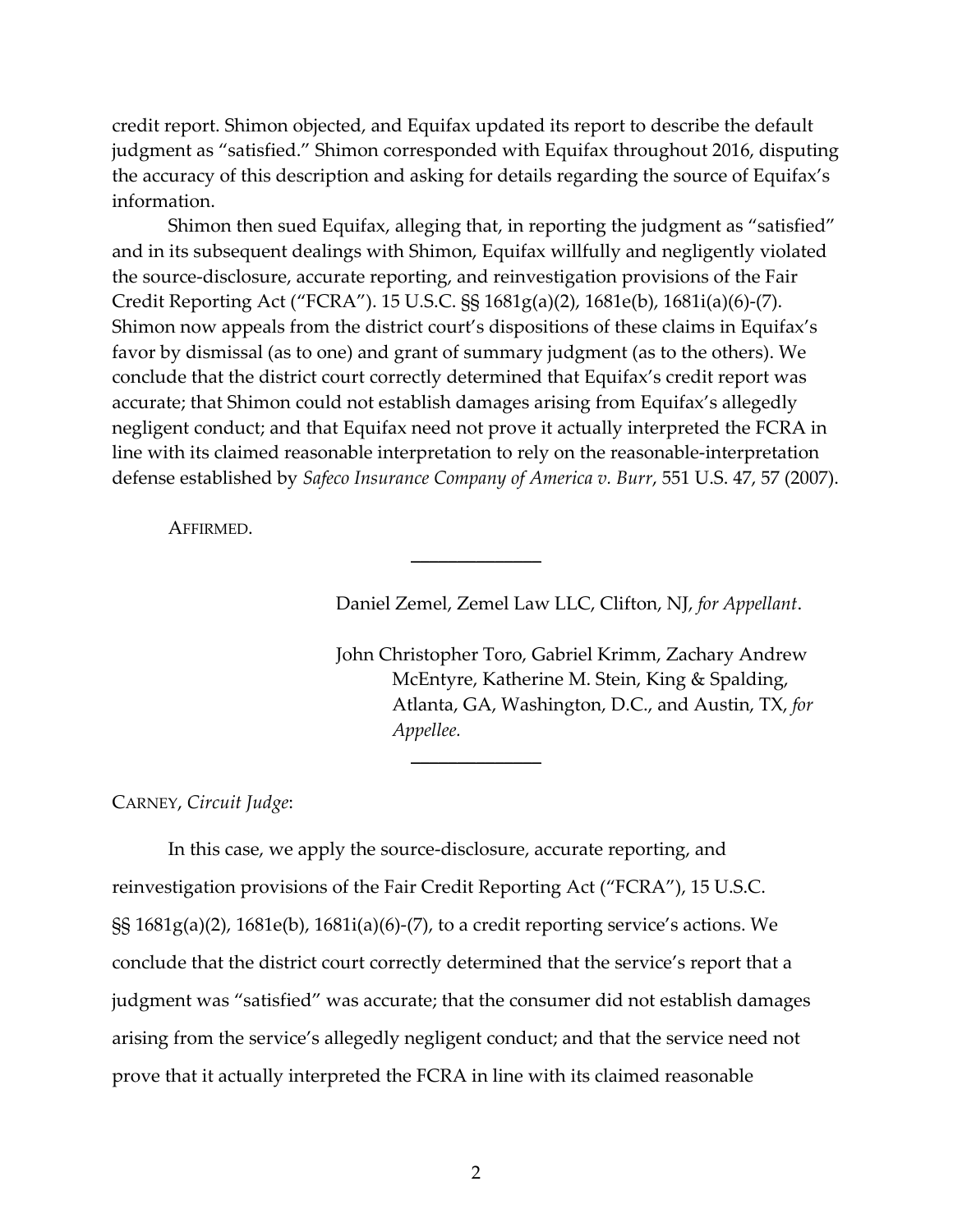credit report. Shimon objected, and Equifax updated its report to describe the default judgment as "satisfied." Shimon corresponded with Equifax throughout 2016, disputing the accuracy of this description and asking for details regarding the source of Equifax's information.

Shimon then sued Equifax, alleging that, in reporting the judgment as "satisfied" and in its subsequent dealings with Shimon, Equifax willfully and negligently violated the source-disclosure, accurate reporting, and reinvestigation provisions of the Fair Credit Reporting Act ("FCRA"). 15 U.S.C. §§ 1681g(a)(2), 1681e(b), 1681i(a)(6)-(7). Shimon now appeals from the district court's dispositions of these claims in Equifax's favor by dismissal (as to one) and grant of summary judgment (as to the others). We conclude that the district court correctly determined that Equifax's credit report was accurate; that Shimon could not establish damages arising from Equifax's allegedly negligent conduct; and that Equifax need not prove it actually interpreted the FCRA in line with its claimed reasonable interpretation to rely on the reasonable-interpretation defense established by *Safeco Insurance Company of America v. Burr*, 551 U.S. 47, 57 (2007).

 $\mathcal{L}$ 

 $\mathcal{L}$ 

AFFIRMED.

Daniel Zemel, Zemel Law LLC, Clifton, NJ, *for Appellant*.

John Christopher Toro, Gabriel Krimm, Zachary Andrew McEntyre, Katherine M. Stein, King & Spalding, Atlanta, GA, Washington, D.C., and Austin, TX, *for Appellee.*

CARNEY, *Circuit Judge*:

In this case, we apply the source-disclosure, accurate reporting, and reinvestigation provisions of the Fair Credit Reporting Act ("FCRA"), 15 U.S.C. §§ 1681g(a)(2), 1681e(b), 1681i(a)(6)-(7), to a credit reporting service's actions. We conclude that the district court correctly determined that the service's report that a judgment was "satisfied" was accurate; that the consumer did not establish damages arising from the service's allegedly negligent conduct; and that the service need not prove that it actually interpreted the FCRA in line with its claimed reasonable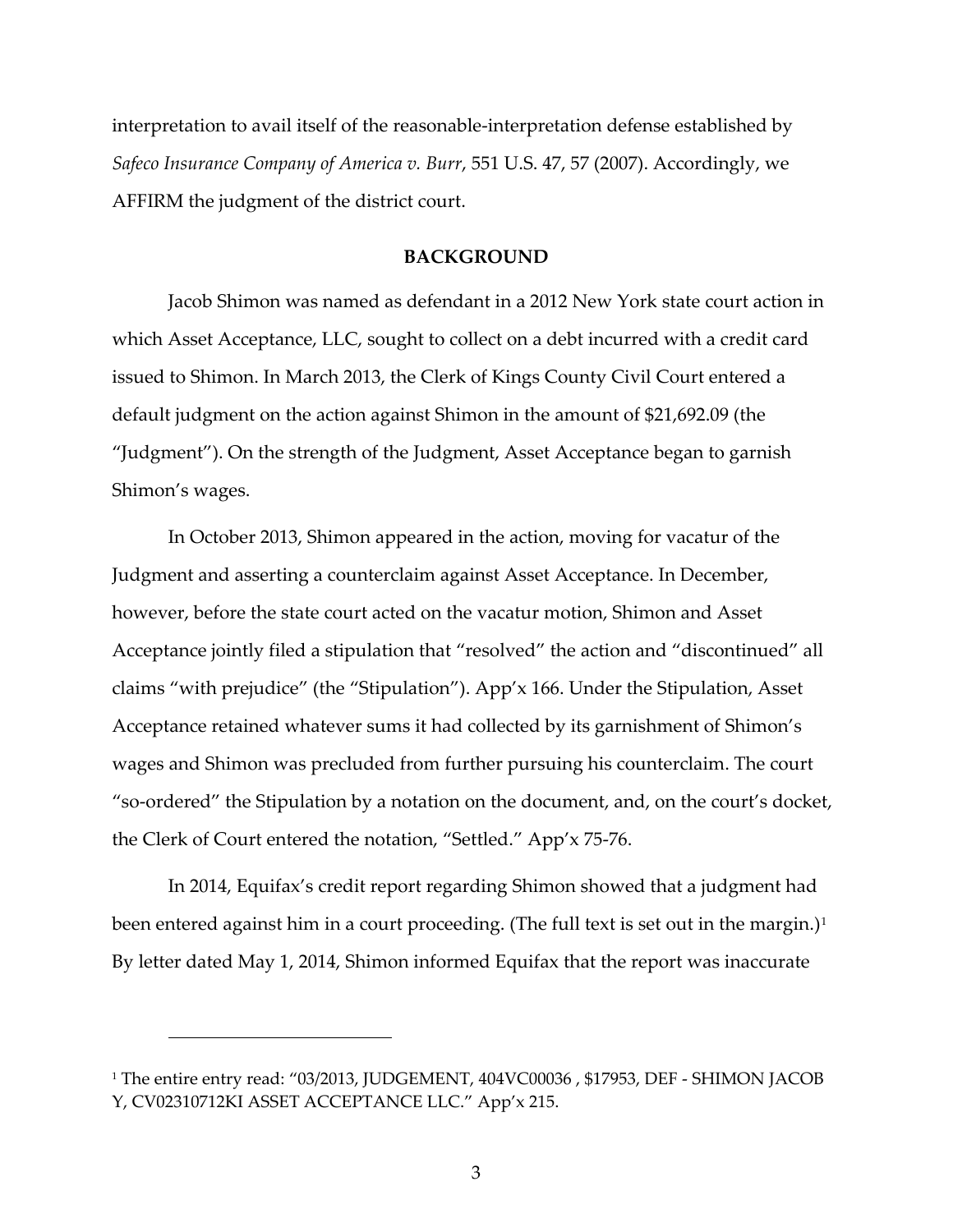interpretation to avail itself of the reasonable-interpretation defense established by *Safeco Insurance Company of America v. Burr*, 551 U.S. 47, 57 (2007). Accordingly, we AFFIRM the judgment of the district court.

#### **BACKGROUND**

Jacob Shimon was named as defendant in a 2012 New York state court action in which Asset Acceptance, LLC, sought to collect on a debt incurred with a credit card issued to Shimon. In March 2013, the Clerk of Kings County Civil Court entered a default judgment on the action against Shimon in the amount of \$21,692.09 (the "Judgment"). On the strength of the Judgment, Asset Acceptance began to garnish Shimon's wages.

In October 2013, Shimon appeared in the action, moving for vacatur of the Judgment and asserting a counterclaim against Asset Acceptance. In December, however, before the state court acted on the vacatur motion, Shimon and Asset Acceptance jointly filed a stipulation that "resolved" the action and "discontinued" all claims "with prejudice" (the "Stipulation"). App'x 166. Under the Stipulation, Asset Acceptance retained whatever sums it had collected by its garnishment of Shimon's wages and Shimon was precluded from further pursuing his counterclaim. The court "so-ordered" the Stipulation by a notation on the document, and, on the court's docket, the Clerk of Court entered the notation, "Settled." App'x 75-76.

In 2014, Equifax's credit report regarding Shimon showed that a judgment had been entered against him in a court proceeding. (The full text is set out in the margin.)<sup>[1](#page-2-0)</sup> By letter dated May 1, 2014, Shimon informed Equifax that the report was inaccurate

<span id="page-2-0"></span><sup>&</sup>lt;sup>1</sup> The entire entry read: "03/2013, JUDGEMENT, 404VC00036, \$17953, DEF - SHIMON JACOB Y, CV02310712KI ASSET ACCEPTANCE LLC." App'x 215.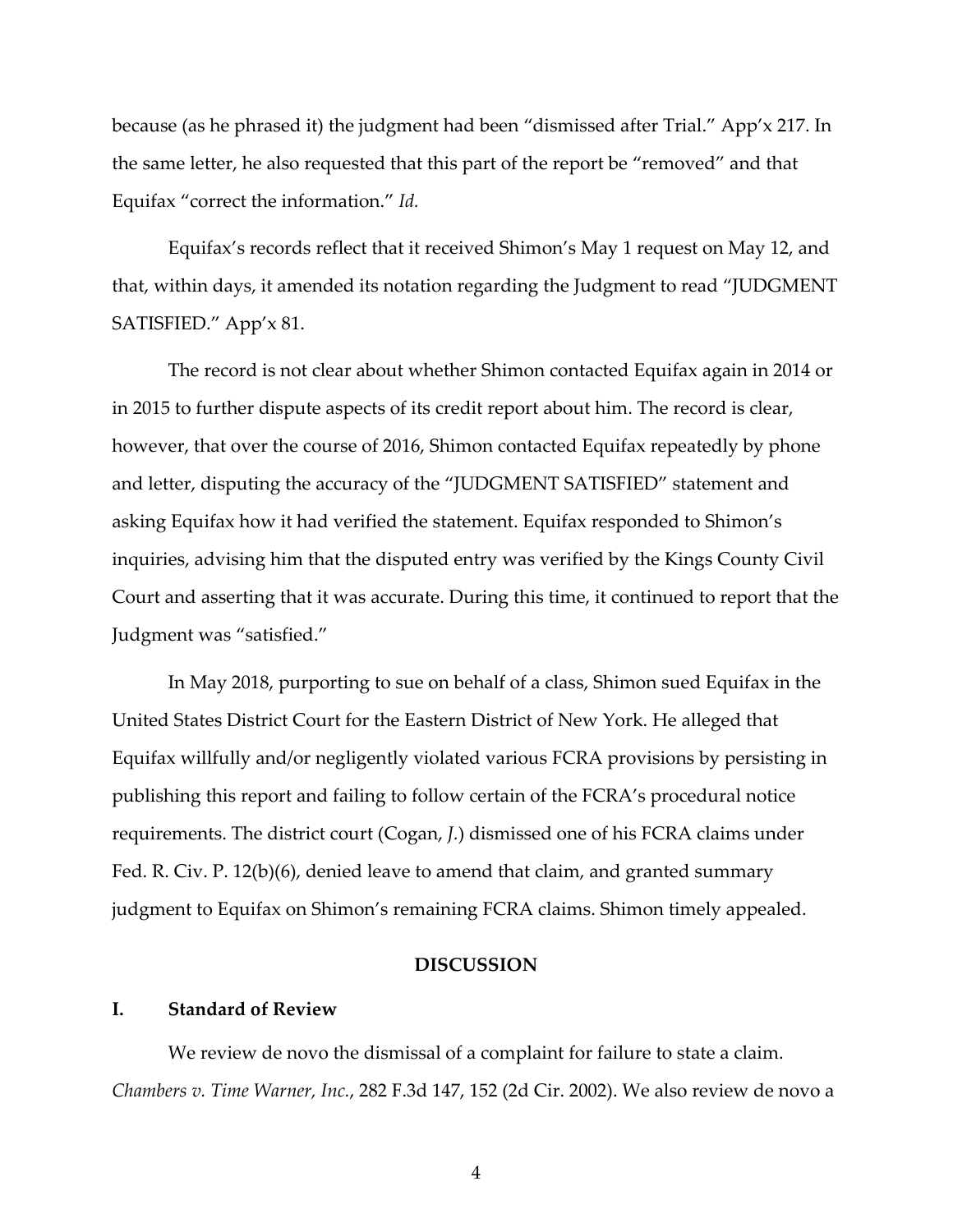because (as he phrased it) the judgment had been "dismissed after Trial." App'x 217. In the same letter, he also requested that this part of the report be "removed" and that Equifax "correct the information." *Id.*

Equifax's records reflect that it received Shimon's May 1 request on May 12, and that, within days, it amended its notation regarding the Judgment to read "JUDGMENT SATISFIED." App'x 81.

The record is not clear about whether Shimon contacted Equifax again in 2014 or in 2015 to further dispute aspects of its credit report about him. The record is clear, however, that over the course of 2016, Shimon contacted Equifax repeatedly by phone and letter, disputing the accuracy of the "JUDGMENT SATISFIED" statement and asking Equifax how it had verified the statement. Equifax responded to Shimon's inquiries, advising him that the disputed entry was verified by the Kings County Civil Court and asserting that it was accurate. During this time, it continued to report that the Judgment was "satisfied."

In May 2018, purporting to sue on behalf of a class, Shimon sued Equifax in the United States District Court for the Eastern District of New York. He alleged that Equifax willfully and/or negligently violated various FCRA provisions by persisting in publishing this report and failing to follow certain of the FCRA's procedural notice requirements. The district court (Cogan, *J.*) dismissed one of his FCRA claims under Fed. R. Civ. P. 12(b)(6), denied leave to amend that claim, and granted summary judgment to Equifax on Shimon's remaining FCRA claims. Shimon timely appealed.

#### **DISCUSSION**

## **I. Standard of Review**

We review de novo the dismissal of a complaint for failure to state a claim. *Chambers v. Time Warner, Inc.*, 282 F.3d 147, 152 (2d Cir. 2002). We also review de novo a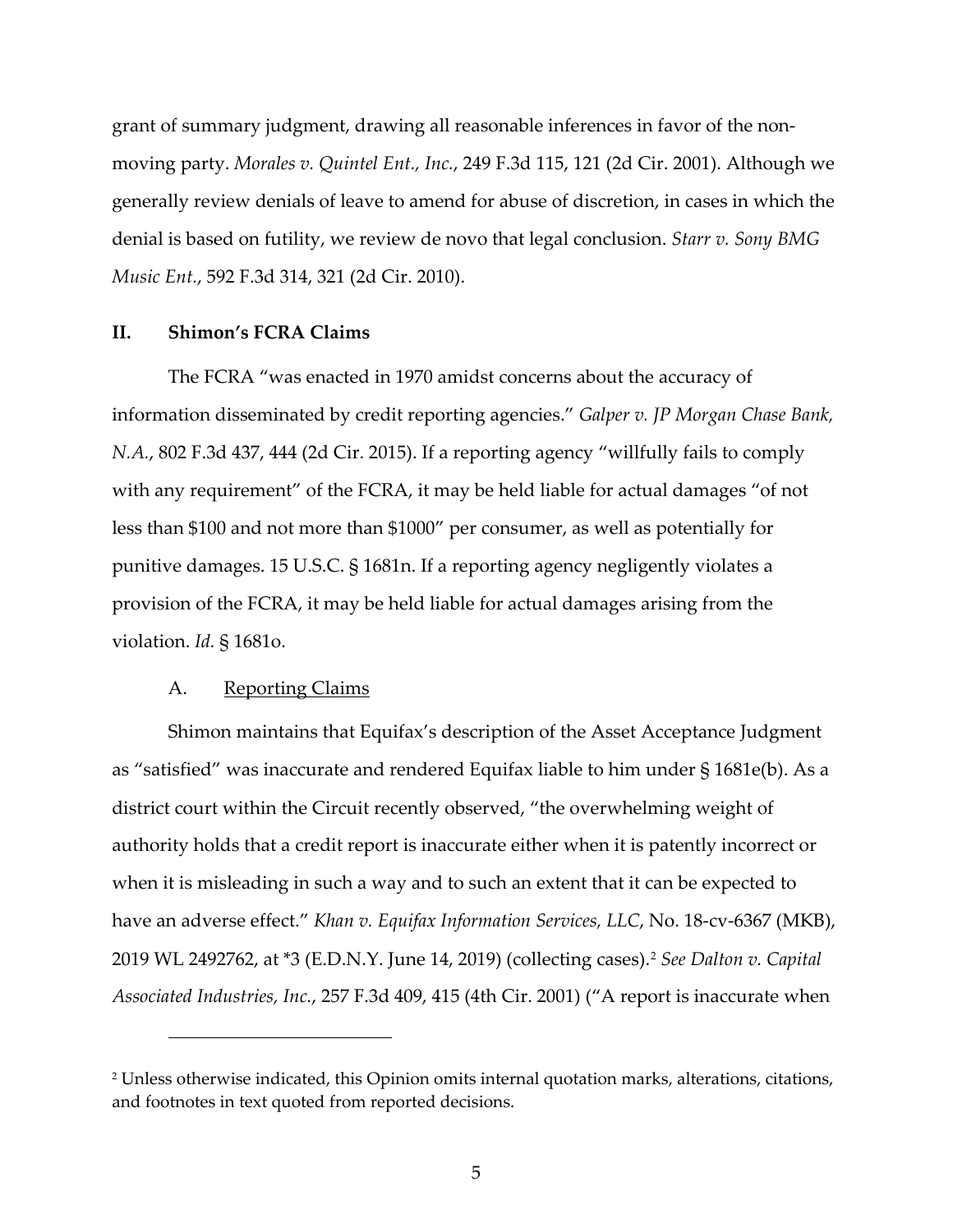grant of summary judgment, drawing all reasonable inferences in favor of the nonmoving party. *Morales v. Quintel Ent., Inc.*, 249 F.3d 115, 121 (2d Cir. 2001). Although we generally review denials of leave to amend for abuse of discretion, in cases in which the denial is based on futility, we review de novo that legal conclusion. *Starr v. Sony BMG Music Ent.*, 592 F.3d 314, 321 (2d Cir. 2010).

#### **II. Shimon's FCRA Claims**

The FCRA "was enacted in 1970 amidst concerns about the accuracy of information disseminated by credit reporting agencies." *Galper v. JP Morgan Chase Bank, N.A.*, 802 F.3d 437, 444 (2d Cir. 2015). If a reporting agency "willfully fails to comply with any requirement" of the FCRA, it may be held liable for actual damages "of not less than \$100 and not more than \$1000" per consumer, as well as potentially for punitive damages. 15 U.S.C. § 1681n. If a reporting agency negligently violates a provision of the FCRA, it may be held liable for actual damages arising from the violation. *Id.* § 1681o.

### A. Reporting Claims

Shimon maintains that Equifax's description of the Asset Acceptance Judgment as "satisfied" was inaccurate and rendered Equifax liable to him under § 1681e(b). As a district court within the Circuit recently observed, "the overwhelming weight of authority holds that a credit report is inaccurate either when it is patently incorrect or when it is misleading in such a way and to such an extent that it can be expected to have an adverse effect." *Khan v. Equifax Information Services, LLC*, No. 18-cv-6367 (MKB), 2019 WL 2492762, at \*3 (E.D.N.Y. June 14, 2019) (collecting cases). [2](#page-4-0) *See Dalton v. Capital Associated Industries, Inc.*, 257 F.3d 409, 415 (4th Cir. 2001) ("A report is inaccurate when

<span id="page-4-0"></span><sup>2</sup> Unless otherwise indicated, this Opinion omits internal quotation marks, alterations, citations, and footnotes in text quoted from reported decisions.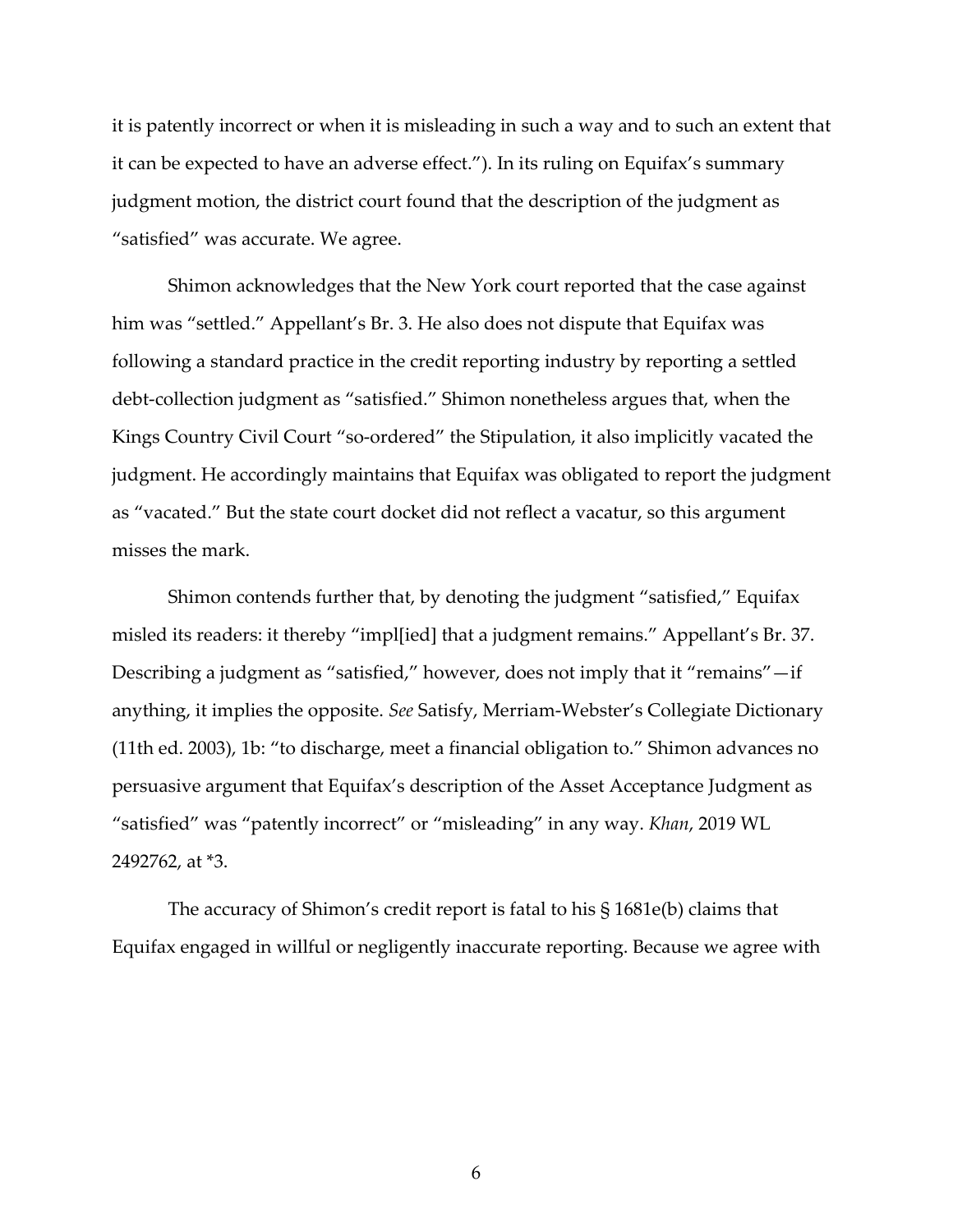it is patently incorrect or when it is misleading in such a way and to such an extent that it can be expected to have an adverse effect."). In its ruling on Equifax's summary judgment motion, the district court found that the description of the judgment as "satisfied" was accurate. We agree.

Shimon acknowledges that the New York court reported that the case against him was "settled." Appellant's Br. 3. He also does not dispute that Equifax was following a standard practice in the credit reporting industry by reporting a settled debt-collection judgment as "satisfied." Shimon nonetheless argues that, when the Kings Country Civil Court "so-ordered" the Stipulation, it also implicitly vacated the judgment. He accordingly maintains that Equifax was obligated to report the judgment as "vacated." But the state court docket did not reflect a vacatur, so this argument misses the mark.

Shimon contends further that, by denoting the judgment "satisfied," Equifax misled its readers: it thereby "impl[ied] that a judgment remains." Appellant's Br. 37. Describing a judgment as "satisfied," however, does not imply that it "remains"—if anything, it implies the opposite. *See* Satisfy, Merriam-Webster's Collegiate Dictionary (11th ed. 2003), 1b: "to discharge, meet a financial obligation to." Shimon advances no persuasive argument that Equifax's description of the Asset Acceptance Judgment as "satisfied" was "patently incorrect" or "misleading" in any way. *Khan*, 2019 WL 2492762, at \*3.

The accuracy of Shimon's credit report is fatal to his § 1681e(b) claims that Equifax engaged in willful or negligently inaccurate reporting. Because we agree with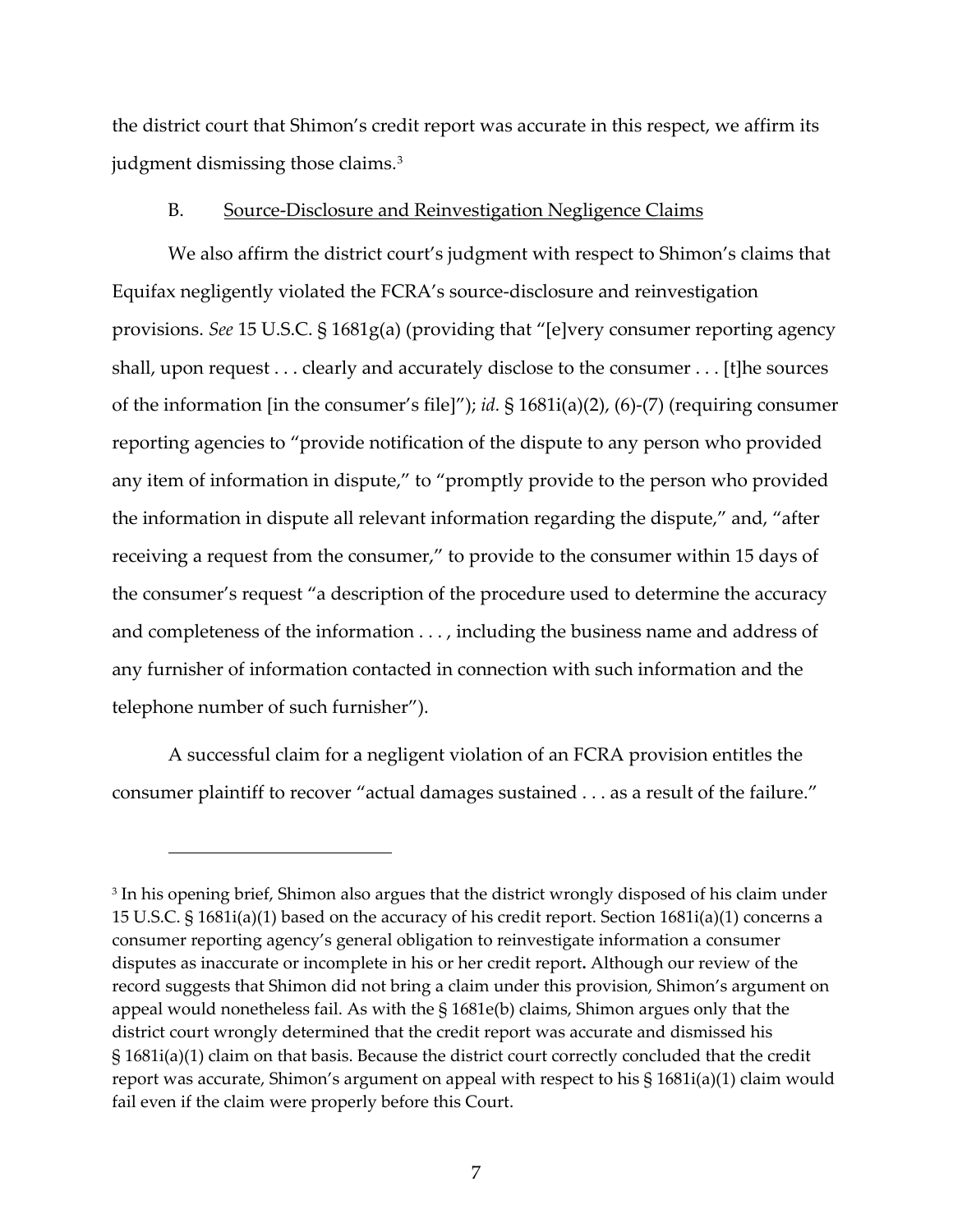the district court that Shimon's credit report was accurate in this respect, we affirm its judgment dismissing those claims.<sup>[3](#page-6-0)</sup>

#### B. Source-Disclosure and Reinvestigation Negligence Claims

We also affirm the district court's judgment with respect to Shimon's claims that Equifax negligently violated the FCRA's source-disclosure and reinvestigation provisions. *See* 15 U.S.C. § 1681g(a) (providing that "[e]very consumer reporting agency shall, upon request . . . clearly and accurately disclose to the consumer . . . [t]he sources of the information [in the consumer's file]"); *id.* § 1681i(a)(2), (6)-(7) (requiring consumer reporting agencies to "provide notification of the dispute to any person who provided any item of information in dispute," to "promptly provide to the person who provided the information in dispute all relevant information regarding the dispute," and, "after receiving a request from the consumer," to provide to the consumer within 15 days of the consumer's request "a description of the procedure used to determine the accuracy and completeness of the information . . . , including the business name and address of any furnisher of information contacted in connection with such information and the telephone number of such furnisher").

A successful claim for a negligent violation of an FCRA provision entitles the consumer plaintiff to recover "actual damages sustained . . . as a result of the failure."

<span id="page-6-0"></span><sup>&</sup>lt;sup>3</sup> In his opening brief, Shimon also argues that the district wrongly disposed of his claim under 15 U.S.C. § 1681i(a)(1) based on the accuracy of his credit report. Section 1681i(a)(1) concerns a consumer reporting agency's general obligation to reinvestigate information a consumer disputes as inaccurate or incomplete in his or her credit report**.** Although our review of the record suggests that Shimon did not bring a claim under this provision, Shimon's argument on appeal would nonetheless fail. As with the § 1681e(b) claims, Shimon argues only that the district court wrongly determined that the credit report was accurate and dismissed his § 1681i(a)(1) claim on that basis. Because the district court correctly concluded that the credit report was accurate, Shimon's argument on appeal with respect to his § 1681i(a)(1) claim would fail even if the claim were properly before this Court.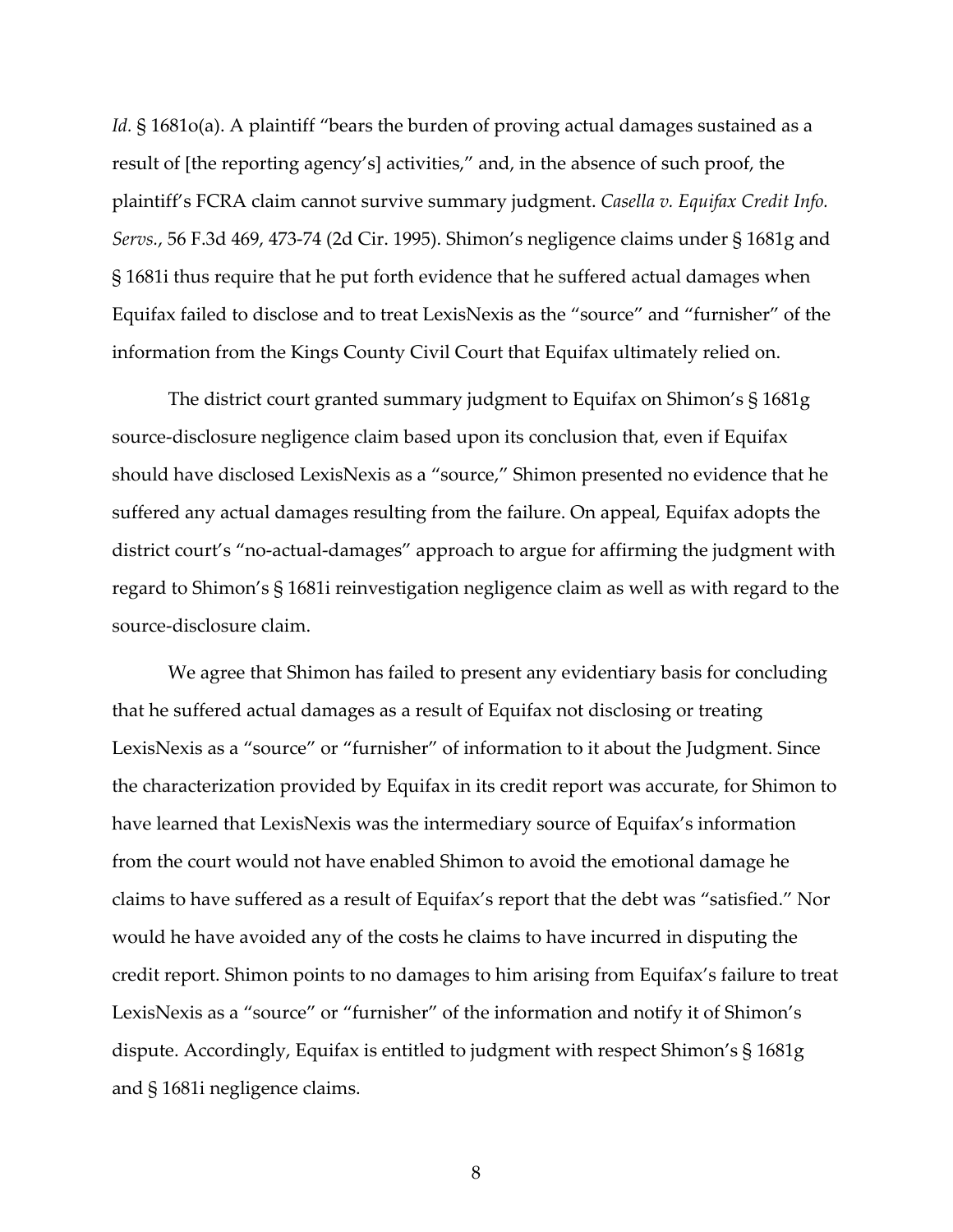Id. § 1681o(a). A plaintiff "bears the burden of proving actual damages sustained as a result of [the reporting agency's] activities," and, in the absence of such proof, the plaintiff's FCRA claim cannot survive summary judgment. *Casella v. Equifax Credit Info. Servs.*, 56 F.3d 469, 473-74 (2d Cir. 1995). Shimon's negligence claims under § 1681g and § 1681i thus require that he put forth evidence that he suffered actual damages when Equifax failed to disclose and to treat LexisNexis as the "source" and "furnisher" of the information from the Kings County Civil Court that Equifax ultimately relied on.

The district court granted summary judgment to Equifax on Shimon's § 1681g source-disclosure negligence claim based upon its conclusion that, even if Equifax should have disclosed LexisNexis as a "source," Shimon presented no evidence that he suffered any actual damages resulting from the failure. On appeal, Equifax adopts the district court's "no-actual-damages" approach to argue for affirming the judgment with regard to Shimon's § 1681i reinvestigation negligence claim as well as with regard to the source-disclosure claim.

We agree that Shimon has failed to present any evidentiary basis for concluding that he suffered actual damages as a result of Equifax not disclosing or treating LexisNexis as a "source" or "furnisher" of information to it about the Judgment. Since the characterization provided by Equifax in its credit report was accurate, for Shimon to have learned that LexisNexis was the intermediary source of Equifax's information from the court would not have enabled Shimon to avoid the emotional damage he claims to have suffered as a result of Equifax's report that the debt was "satisfied." Nor would he have avoided any of the costs he claims to have incurred in disputing the credit report. Shimon points to no damages to him arising from Equifax's failure to treat LexisNexis as a "source" or "furnisher" of the information and notify it of Shimon's dispute. Accordingly, Equifax is entitled to judgment with respect Shimon's § 1681g and § 1681i negligence claims.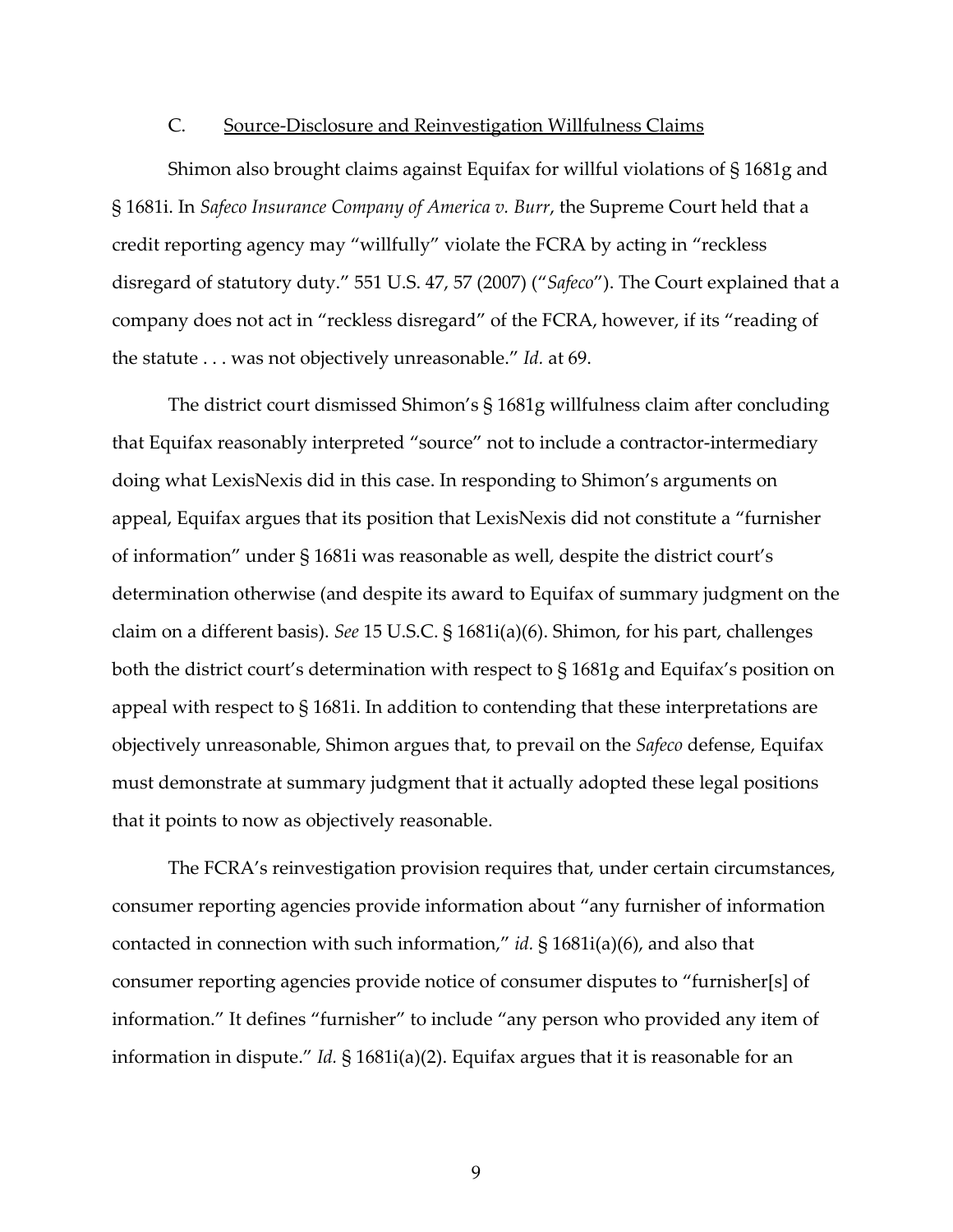#### C. Source-Disclosure and Reinvestigation Willfulness Claims

Shimon also brought claims against Equifax for willful violations of § 1681g and § 1681i. In *Safeco Insurance Company of America v. Burr*, the Supreme Court held that a credit reporting agency may "willfully" violate the FCRA by acting in "reckless disregard of statutory duty." 551 U.S. 47, 57 (2007) ("*Safeco*"). The Court explained that a company does not act in "reckless disregard" of the FCRA, however, if its "reading of the statute . . . was not objectively unreasonable." *Id.* at 69.

The district court dismissed Shimon's § 1681g willfulness claim after concluding that Equifax reasonably interpreted "source" not to include a contractor-intermediary doing what LexisNexis did in this case. In responding to Shimon's arguments on appeal, Equifax argues that its position that LexisNexis did not constitute a "furnisher of information" under § 1681i was reasonable as well, despite the district court's determination otherwise (and despite its award to Equifax of summary judgment on the claim on a different basis). *See* 15 U.S.C. § 1681i(a)(6). Shimon, for his part, challenges both the district court's determination with respect to § 1681g and Equifax's position on appeal with respect to § 1681i. In addition to contending that these interpretations are objectively unreasonable, Shimon argues that, to prevail on the *Safeco* defense, Equifax must demonstrate at summary judgment that it actually adopted these legal positions that it points to now as objectively reasonable.

The FCRA's reinvestigation provision requires that, under certain circumstances, consumer reporting agencies provide information about "any furnisher of information contacted in connection with such information," *id.* § 1681i(a)(6), and also that consumer reporting agencies provide notice of consumer disputes to "furnisher[s] of information." It defines "furnisher" to include "any person who provided any item of information in dispute." *Id.* § 1681i(a)(2). Equifax argues that it is reasonable for an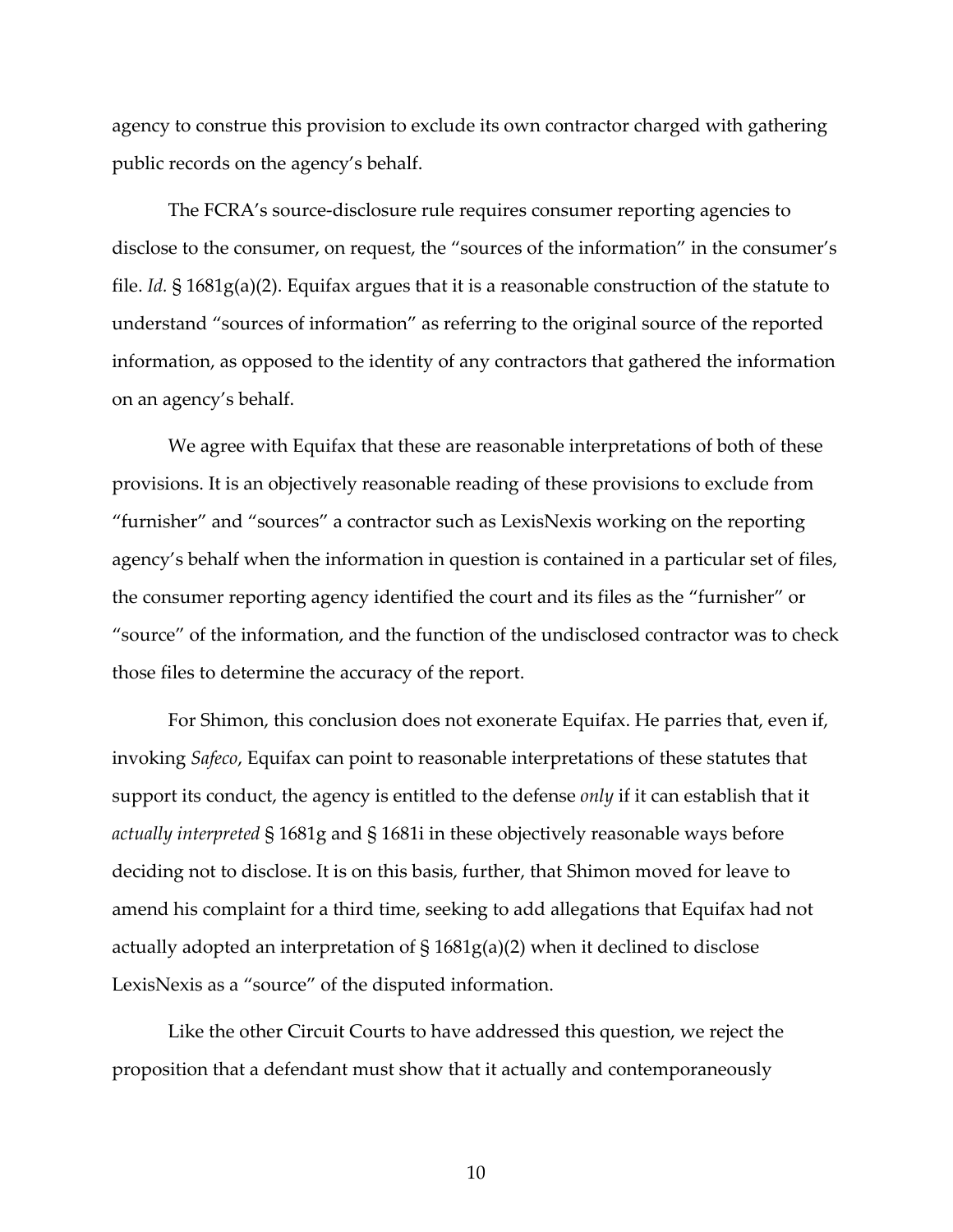agency to construe this provision to exclude its own contractor charged with gathering public records on the agency's behalf.

The FCRA's source-disclosure rule requires consumer reporting agencies to disclose to the consumer, on request, the "sources of the information" in the consumer's file. *Id.* § 1681g(a)(2). Equifax argues that it is a reasonable construction of the statute to understand "sources of information" as referring to the original source of the reported information, as opposed to the identity of any contractors that gathered the information on an agency's behalf.

We agree with Equifax that these are reasonable interpretations of both of these provisions. It is an objectively reasonable reading of these provisions to exclude from "furnisher" and "sources" a contractor such as LexisNexis working on the reporting agency's behalf when the information in question is contained in a particular set of files, the consumer reporting agency identified the court and its files as the "furnisher" or "source" of the information, and the function of the undisclosed contractor was to check those files to determine the accuracy of the report.

For Shimon, this conclusion does not exonerate Equifax. He parries that, even if, invoking *Safeco*, Equifax can point to reasonable interpretations of these statutes that support its conduct, the agency is entitled to the defense *only* if it can establish that it *actually interpreted* § 1681g and § 1681i in these objectively reasonable ways before deciding not to disclose. It is on this basis, further, that Shimon moved for leave to amend his complaint for a third time, seeking to add allegations that Equifax had not actually adopted an interpretation of § 1681g(a)(2) when it declined to disclose LexisNexis as a "source" of the disputed information.

Like the other Circuit Courts to have addressed this question, we reject the proposition that a defendant must show that it actually and contemporaneously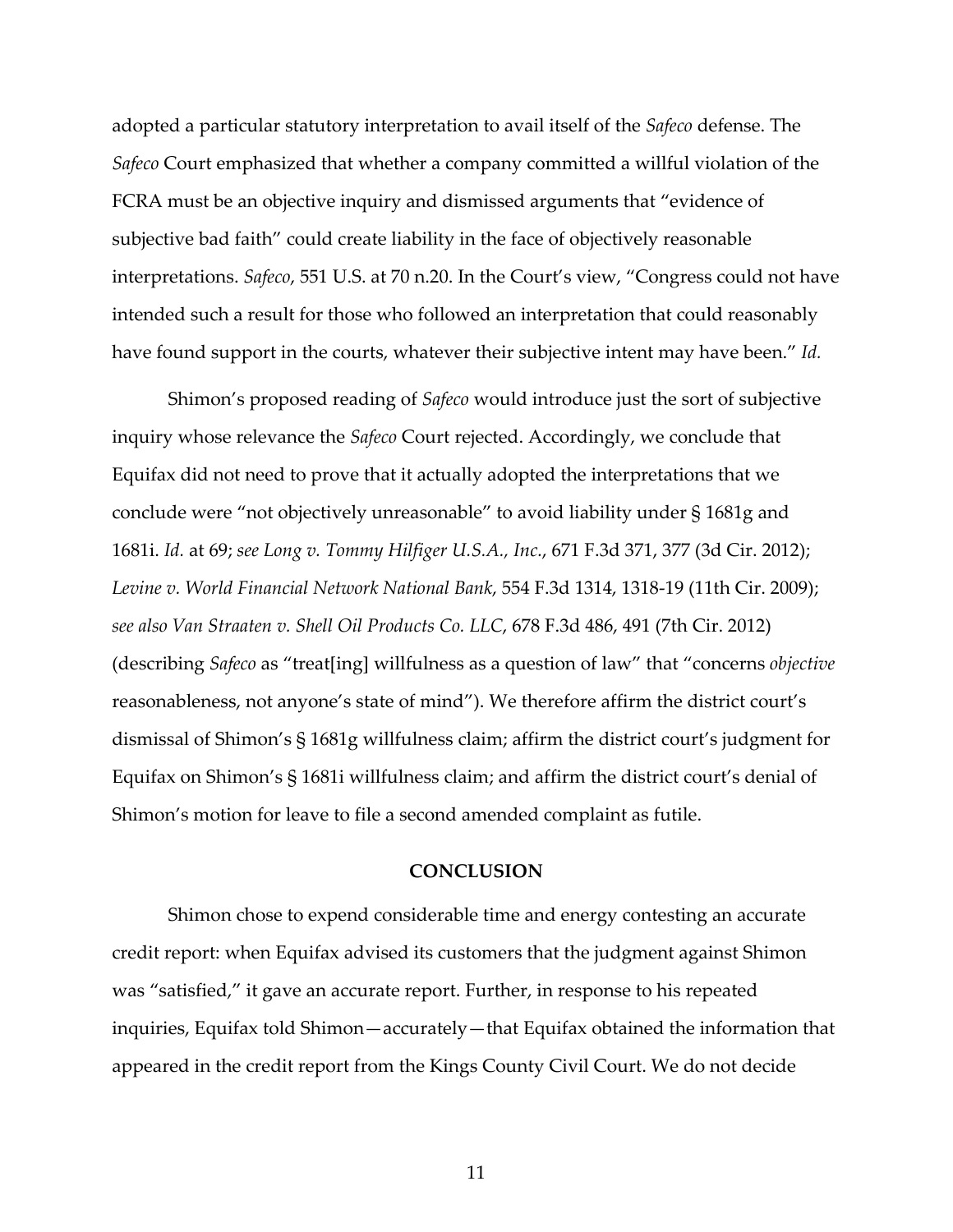adopted a particular statutory interpretation to avail itself of the *Safeco* defense. The *Safeco* Court emphasized that whether a company committed a willful violation of the FCRA must be an objective inquiry and dismissed arguments that "evidence of subjective bad faith" could create liability in the face of objectively reasonable interpretations. *Safeco*, 551 U.S. at 70 n.20. In the Court's view, "Congress could not have intended such a result for those who followed an interpretation that could reasonably have found support in the courts, whatever their subjective intent may have been." *Id.*

Shimon's proposed reading of *Safeco* would introduce just the sort of subjective inquiry whose relevance the *Safeco* Court rejected. Accordingly, we conclude that Equifax did not need to prove that it actually adopted the interpretations that we conclude were "not objectively unreasonable" to avoid liability under § 1681g and 1681i. *Id.* at 69; *see Long v. Tommy Hilfiger U.S.A., Inc.*, 671 F.3d 371, 377 (3d Cir. 2012); *Levine v. World Financial Network National Bank*, 554 F.3d 1314, 1318-19 (11th Cir. 2009); *see also Van Straaten v. Shell Oil Products Co. LLC*, 678 F.3d 486, 491 (7th Cir. 2012) (describing *Safeco* as "treat[ing] willfulness as a question of law" that "concerns *objective*  reasonableness, not anyone's state of mind"). We therefore affirm the district court's dismissal of Shimon's § 1681g willfulness claim; affirm the district court's judgment for Equifax on Shimon's § 1681i willfulness claim; and affirm the district court's denial of Shimon's motion for leave to file a second amended complaint as futile.

#### **CONCLUSION**

Shimon chose to expend considerable time and energy contesting an accurate credit report: when Equifax advised its customers that the judgment against Shimon was "satisfied," it gave an accurate report. Further, in response to his repeated inquiries, Equifax told Shimon—accurately—that Equifax obtained the information that appeared in the credit report from the Kings County Civil Court. We do not decide